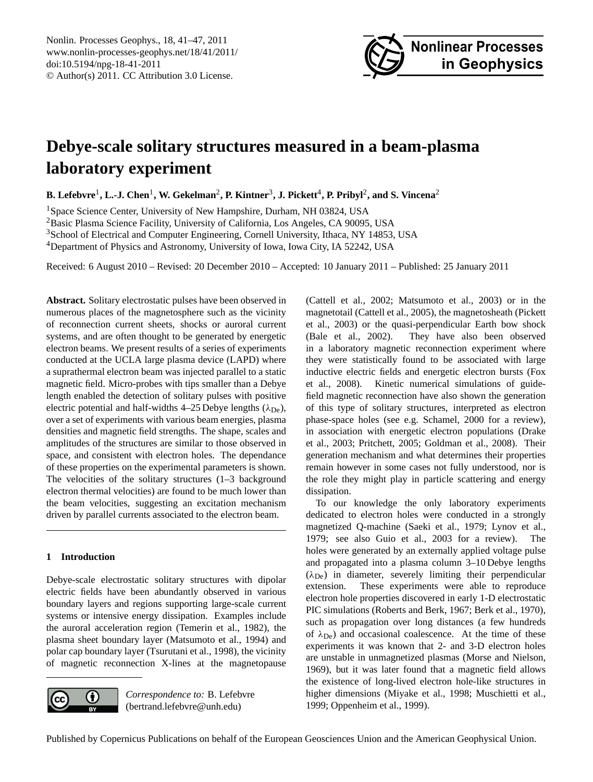

# <span id="page-0-0"></span>**Debye-scale solitary structures measured in a beam-plasma laboratory experiment**

 ${\bf B.}$  Lefebvre<sup>1</sup>, L.-J. Chen<sup>1</sup>, W. Gekelman<sup>2</sup>, P. Kintner<sup>3</sup>, J. Pickett<sup>4</sup>, P. Pribyl<sup>2</sup>, and S. Vincena<sup>2</sup>

<sup>1</sup>Space Science Center, University of New Hampshire, Durham, NH 03824, USA

<sup>2</sup>Basic Plasma Science Facility, University of California, Los Angeles, CA 90095, USA

<sup>3</sup>School of Electrical and Computer Engineering, Cornell University, Ithaca, NY 14853, USA

<sup>4</sup>Department of Physics and Astronomy, University of Iowa, Iowa City, IA 52242, USA

Received: 6 August 2010 – Revised: 20 December 2010 – Accepted: 10 January 2011 – Published: 25 January 2011

**Abstract.** Solitary electrostatic pulses have been observed in numerous places of the magnetosphere such as the vicinity of reconnection current sheets, shocks or auroral current systems, and are often thought to be generated by energetic electron beams. We present results of a series of experiments conducted at the UCLA large plasma device (LAPD) where a suprathermal electron beam was injected parallel to a static magnetic field. Micro-probes with tips smaller than a Debye length enabled the detection of solitary pulses with positive electric potential and half-widths 4–25 Debye lengths  $(\lambda_{\text{De}})$ , over a set of experiments with various beam energies, plasma densities and magnetic field strengths. The shape, scales and amplitudes of the structures are similar to those observed in space, and consistent with electron holes. The dependance of these properties on the experimental parameters is shown. The velocities of the solitary structures (1–3 background electron thermal velocities) are found to be much lower than the beam velocities, suggesting an excitation mechanism driven by parallel currents associated to the electron beam.

# **1 Introduction**

Debye-scale electrostatic solitary structures with dipolar electric fields have been abundantly observed in various boundary layers and regions supporting large-scale current systems or intensive energy dissipation. Examples include the auroral acceleration region [\(Temerin et al.,](#page-6-0) [1982\)](#page-6-0), the plasma sheet boundary layer [\(Matsumoto et al.,](#page-6-1) [1994\)](#page-6-1) and polar cap boundary layer [\(Tsurutani et al.,](#page-6-2) [1998\)](#page-6-2), the vicinity of magnetic reconnection X-lines at the magnetopause



*Correspondence to:* B. Lefebvre (bertrand.lefebvre@unh.edu)

[\(Cattell et al.,](#page-5-0) [2002;](#page-5-0) [Matsumoto et al.,](#page-6-3) [2003\)](#page-6-3) or in the magnetotail [\(Cattell et al.,](#page-5-1) [2005\)](#page-5-1), the magnetosheath [\(Pickett](#page-6-4) [et al.,](#page-6-4) [2003\)](#page-6-4) or the quasi-perpendicular Earth bow shock [\(Bale et al.,](#page-5-2) [2002\)](#page-5-2). They have also been observed in a laboratory magnetic reconnection experiment where they were statistically found to be associated with large inductive electric fields and energetic electron bursts [\(Fox](#page-5-3) [et al.,](#page-5-3) [2008\)](#page-5-3). Kinetic numerical simulations of guidefield magnetic reconnection have also shown the generation of this type of solitary structures, interpreted as electron phase-space holes (see e.g. [Schamel,](#page-6-5) [2000](#page-6-5) for a review), in association with energetic electron populations [\(Drake](#page-5-4) [et al.,](#page-5-4) [2003;](#page-5-4) [Pritchett,](#page-6-6) [2005;](#page-6-6) [Goldman et al.,](#page-6-7) [2008\)](#page-6-7). Their generation mechanism and what determines their properties remain however in some cases not fully understood, nor is the role they might play in particle scattering and energy dissipation.

To our knowledge the only laboratory experiments dedicated to electron holes were conducted in a strongly magnetized Q-machine [\(Saeki et al.,](#page-6-8) [1979;](#page-6-8) [Lynov et al.,](#page-6-9) [1979;](#page-6-9) see also [Guio et al.,](#page-6-10) [2003](#page-6-10) for a review). The holes were generated by an externally applied voltage pulse and propagated into a plasma column 3–10 Debye lengths  $(\lambda_{\text{De}})$  in diameter, severely limiting their perpendicular extension. These experiments were able to reproduce electron hole properties discovered in early 1-D electrostatic PIC simulations [\(Roberts and Berk,](#page-6-11) [1967;](#page-6-11) [Berk et al.,](#page-5-5) [1970\)](#page-5-5), such as propagation over long distances (a few hundreds of  $\lambda_{\text{De}}$ ) and occasional coalescence. At the time of these experiments it was known that 2- and 3-D electron holes are unstable in unmagnetized plasmas [\(Morse and Nielson,](#page-6-12) [1969\)](#page-6-12), but it was later found that a magnetic field allows the existence of long-lived electron hole-like structures in higher dimensions [\(Miyake et al.,](#page-6-13) [1998;](#page-6-13) [Muschietti et al.,](#page-6-14) [1999;](#page-6-14) [Oppenheim et al.,](#page-6-15) [1999\)](#page-6-15).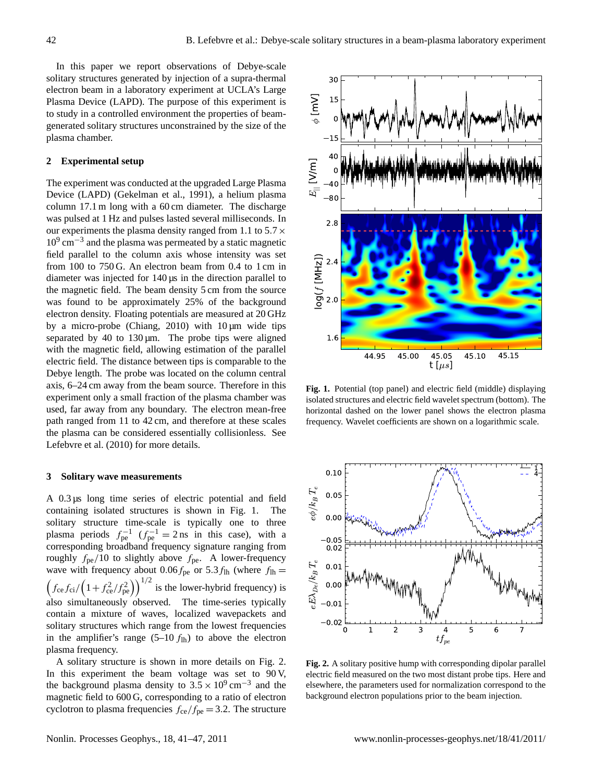In this paper we report observations of Debye-scale solitary structures generated by injection of a supra-thermal electron beam in a laboratory experiment at UCLA's Large Plasma Device (LAPD). The purpose of this experiment is to study in a controlled environment the properties of beamgenerated solitary structures unconstrained by the size of the plasma chamber.

#### **2 Experimental setup**

The experiment was conducted at the upgraded Large Plasma Device (LAPD) [\(Gekelman et al.,](#page-6-16) [1991\)](#page-6-16), a helium plasma column 17.1 m long with a 60 cm diameter. The discharge was pulsed at 1 Hz and pulses lasted several milliseconds. In our experiments the plasma density ranged from 1.1 to  $5.7 \times$ 10<sup>9</sup> cm−<sup>3</sup> and the plasma was permeated by a static magnetic field parallel to the column axis whose intensity was set from 100 to 750 G. An electron beam from 0.4 to 1 cm in diameter was injected for 140 µs in the direction parallel to the magnetic field. The beam density 5 cm from the source was found to be approximately 25% of the background electron density. Floating potentials are measured at 20 GHz by a micro-probe [\(Chiang,](#page-5-6) [2010\)](#page-5-6) with  $10 \mu m$  wide tips separated by 40 to  $130 \mu m$ . The probe tips were aligned with the magnetic field, allowing estimation of the parallel electric field. The distance between tips is comparable to the Debye length. The probe was located on the column central axis, 6–24 cm away from the beam source. Therefore in this experiment only a small fraction of the plasma chamber was used, far away from any boundary. The electron mean-free path ranged from 11 to 42 cm, and therefore at these scales the plasma can be considered essentially collisionless. See [Lefebvre et al.](#page-6-17) [\(2010\)](#page-6-17) for more details.

#### **3 Solitary wave measurements**

A 0.3 µs long time series of electric potential and field containing isolated structures is shown in Fig. [1.](#page-1-0) The solitary structure time-scale is typically one to three plasma periods  $f_{\text{pe}}^{-1}$  ( $f_{\text{pe}}^{-1} = 2 \text{ ns}$  in this case), with a corresponding broadband frequency signature ranging from roughly  $f_{pe}/10$  to slightly above  $f_{pe}$ . A lower-frequency wave with frequency about 0.06 $f_{\text{pe}}$  or 5.3 $f_{\text{lh}}$  (where  $f_{\text{lh}} =$  $\left(f_{\text{ce}}f_{\text{ci}}/\left(1+f_{\text{ce}}^2/f_{\text{pe}}^2\right)\right)^{1/2}$  is the lower-hybrid frequency) is also simultaneously observed. The time-series typically contain a mixture of waves, localized wavepackets and solitary structures which range from the lowest frequencies in the amplifier's range  $(5-10 f_{lh})$  to above the electron plasma frequency.

A solitary structure is shown in more details on Fig. [2.](#page-1-1) In this experiment the beam voltage was set to 90 V, the background plasma density to  $3.5 \times 10^9$  cm<sup>-3</sup> and the magnetic field to 600 G, corresponding to a ratio of electron cyclotron to plasma frequencies  $f_{ce}/f_{pe} = 3.2$ . The structure



<span id="page-1-0"></span>**Fig. 1.** Potential (top panel) and electric field (middle) displaying isolated structures and electric field wavelet spectrum (bottom). The horizontal dashed on the lower panel shows the electron plasma frequency. Wavelet coefficients are shown on a logarithmic scale.



<span id="page-1-1"></span>**Fig. 2.** A solitary positive hump with corresponding dipolar parallel electric field measured on the two most distant probe tips. Here and elsewhere, the parameters used for normalization correspond to the background electron populations prior to the beam injection.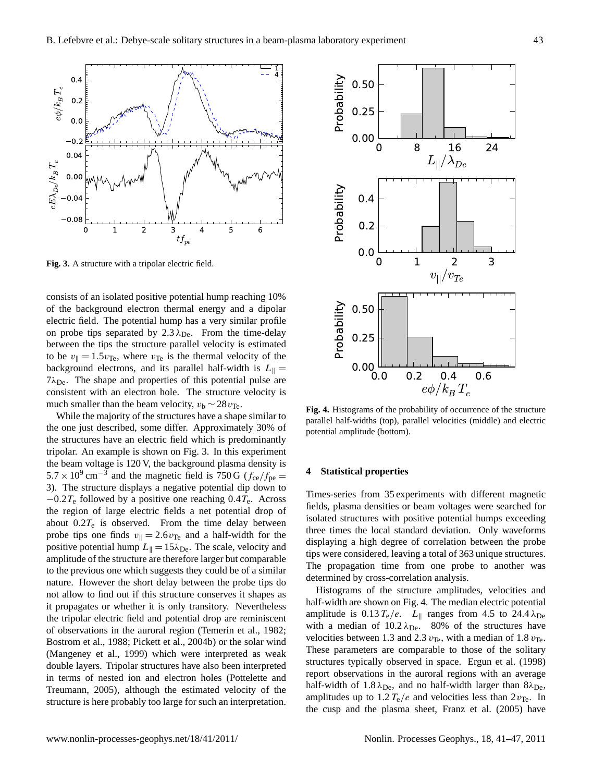

<span id="page-2-0"></span>**Fig. 3.** A structure with a tripolar electric field.

consists of an isolated positive potential hump reaching 10% of the background electron thermal energy and a dipolar electric field. The potential hump has a very similar profile on probe tips separated by  $2.3 \lambda_{\text{De}}$ . From the time-delay between the tips the structure parallel velocity is estimated to be  $v_{\parallel} = 1.5v_{\text{Te}}$ , where  $v_{\text{Te}}$  is the thermal velocity of the background electrons, and its parallel half-width is  $L_{\parallel} =$  $7\lambda_{\text{De}}$ . The shape and properties of this potential pulse are consistent with an electron hole. The structure velocity is much smaller than the beam velocity,  $v_b \sim 28 v_{\text{Te}}$ .

While the majority of the structures have a shape similar to the one just described, some differ. Approximately 30% of the structures have an electric field which is predominantly tripolar. An example is shown on Fig. [3.](#page-2-0) In this experiment the beam voltage is 120 V, the background plasma density is  $5.7 \times 10^9$  cm<sup>-3</sup> and the magnetic field is 750 G ( $f_{ce}/f_{pe}$  = 3). The structure displays a negative potential dip down to  $-0.2T_e$  followed by a positive one reaching  $0.4T_e$ . Across the region of large electric fields a net potential drop of about  $0.2T_e$  is observed. From the time delay between probe tips one finds  $v_{\parallel} = 2.6v_{\text{Te}}$  and a half-width for the positive potential hump  $L_{\parallel} = 15\lambda_{\text{De}}$ . The scale, velocity and amplitude of the structure are therefore larger but comparable to the previous one which suggests they could be of a similar nature. However the short delay between the probe tips do not allow to find out if this structure conserves it shapes as it propagates or whether it is only transitory. Nevertheless the tripolar electric field and potential drop are reminiscent of observations in the auroral region [\(Temerin et al.,](#page-6-0) [1982;](#page-6-0) [Bostrom et al.,](#page-5-7) [1988;](#page-5-7) [Pickett et al.,](#page-6-18) [2004b\)](#page-6-18) or the solar wind [\(Mangeney et al.,](#page-6-19) [1999\)](#page-6-19) which were interpreted as weak double layers. Tripolar structures have also been interpreted in terms of nested ion and electron holes [\(Pottelette and](#page-6-20) [Treumann,](#page-6-20) [2005\)](#page-6-20), although the estimated velocity of the structure is here probably too large for such an interpretation.



<span id="page-2-1"></span>**Fig. 4.** Histograms of the probability of occurrence of the structure parallel half-widths (top), parallel velocities (middle) and electric potential amplitude (bottom).

## **4 Statistical properties**

Times-series from 35 experiments with different magnetic fields, plasma densities or beam voltages were searched for isolated structures with positive potential humps exceeding three times the local standard deviation. Only waveforms displaying a high degree of correlation between the probe tips were considered, leaving a total of 363 unique structures. The propagation time from one probe to another was determined by cross-correlation analysis.

Histograms of the structure amplitudes, velocities and half-width are shown on Fig. [4.](#page-2-1) The median electric potential amplitude is  $0.13 T_e/e$ .  $L_{\parallel}$  ranges from 4.5 to 24.4  $\lambda_{\text{De}}$ with a median of  $10.2 \lambda_{\text{De}}$ . 80% of the structures have velocities between 1.3 and 2.3  $v_{\text{Te}}$ , with a median of 1.8  $v_{\text{Te}}$ . These parameters are comparable to those of the solitary structures typically observed in space. [Ergun et al.](#page-5-8) [\(1998\)](#page-5-8) report observations in the auroral regions with an average half-width of  $1.8 \lambda_{\text{De}}$ , and no half-width larger than  $8\lambda_{\text{De}}$ , amplitudes up to  $1.2 T_e/e$  and velocities less than  $2v_{Te}$ . In the cusp and the plasma sheet, [Franz et al.](#page-6-21) [\(2005\)](#page-6-21) have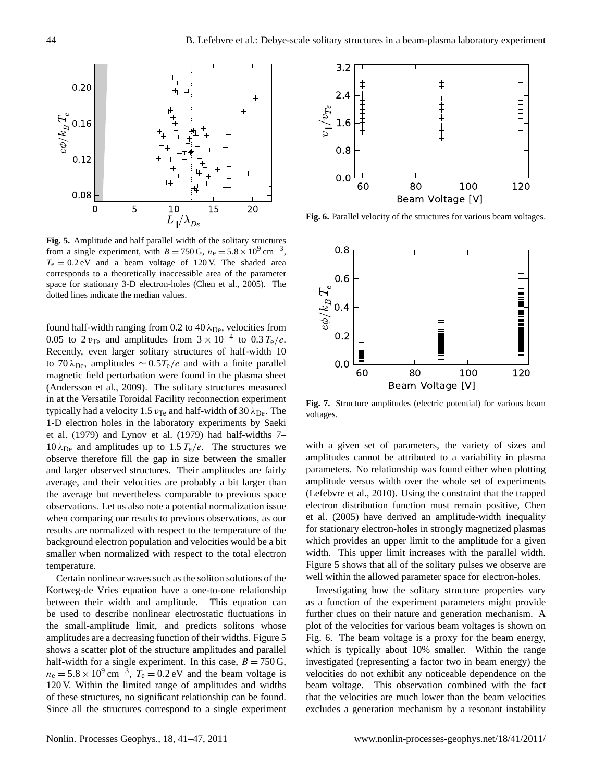

<span id="page-3-0"></span>**Fig. 5.** Amplitude and half parallel width of the solitary structures from a single experiment, with  $B = 750 \text{ G}$ ,  $n_e = 5.8 \times 10^9 \text{ cm}^{-3}$ ,  $T<sub>e</sub> = 0.2$  eV and a beam voltage of 120 V. The shaded area corresponds to a theoretically inaccessible area of the parameter space for stationary 3-D electron-holes [\(Chen et al.,](#page-5-9) [2005\)](#page-5-9). The dotted lines indicate the median values.

found half-width ranging from 0.2 to 40  $\lambda_{\text{De}}$ , velocities from 0.05 to 2  $v_{\text{Te}}$  and amplitudes from  $3 \times 10^{-4}$  to 0.3  $T_e/e$ . Recently, even larger solitary structures of half-width 10 to 70  $\lambda_{\text{De}}$ , amplitudes ~ 0.5 $T_e/e$  and with a finite parallel magnetic field perturbation were found in the plasma sheet [\(Andersson et al.,](#page-5-10) [2009\)](#page-5-10). The solitary structures measured in at the Versatile Toroidal Facility reconnection experiment typically had a velocity 1.5  $v_{\text{Te}}$  and half-width of 30  $\lambda_{\text{De}}$ . The 1-D electron holes in the laboratory experiments by [Saeki](#page-6-8) [et al.](#page-6-8) [\(1979\)](#page-6-8) and [Lynov et al.](#page-6-9) [\(1979\)](#page-6-9) had half-widths 7– 10  $\lambda_{\text{De}}$  and amplitudes up to 1.5  $T_e/e$ . The structures we observe therefore fill the gap in size between the smaller and larger observed structures. Their amplitudes are fairly average, and their velocities are probably a bit larger than the average but nevertheless comparable to previous space observations. Let us also note a potential normalization issue when comparing our results to previous observations, as our results are normalized with respect to the temperature of the background electron population and velocities would be a bit smaller when normalized with respect to the total electron temperature.

Certain nonlinear waves such as the soliton solutions of the Kortweg-de Vries equation have a one-to-one relationship between their width and amplitude. This equation can be used to describe nonlinear electrostatic fluctuations in the small-amplitude limit, and predicts solitons whose amplitudes are a decreasing function of their widths. Figure [5](#page-3-0) shows a scatter plot of the structure amplitudes and parallel half-width for a single experiment. In this case,  $B = 750 \text{ G}$ ,  $n_e = 5.8 \times 10^9 \text{ cm}^{-3}$ ,  $T_e = 0.2 \text{ eV}$  and the beam voltage is 120 V. Within the limited range of amplitudes and widths of these structures, no significant relationship can be found. Since all the structures correspond to a single experiment



<span id="page-3-1"></span>**Fig. 6.** Parallel velocity of the structures for various beam voltages.



<span id="page-3-2"></span>**Fig. 7.** Structure amplitudes (electric potential) for various beam voltages.

with a given set of parameters, the variety of sizes and amplitudes cannot be attributed to a variability in plasma parameters. No relationship was found either when plotting amplitude versus width over the whole set of experiments [\(Lefebvre et al.,](#page-6-17) [2010\)](#page-6-17). Using the constraint that the trapped electron distribution function must remain positive, [Chen](#page-5-9) [et al.](#page-5-9) [\(2005\)](#page-5-9) have derived an amplitude-width inequality for stationary electron-holes in strongly magnetized plasmas which provides an upper limit to the amplitude for a given width. This upper limit increases with the parallel width. Figure [5](#page-3-0) shows that all of the solitary pulses we observe are well within the allowed parameter space for electron-holes.

Investigating how the solitary structure properties vary as a function of the experiment parameters might provide further clues on their nature and generation mechanism. A plot of the velocities for various beam voltages is shown on Fig. [6.](#page-3-1) The beam voltage is a proxy for the beam energy, which is typically about 10% smaller. Within the range investigated (representing a factor two in beam energy) the velocities do not exhibit any noticeable dependence on the beam voltage. This observation combined with the fact that the velocities are much lower than the beam velocities excludes a generation mechanism by a resonant instability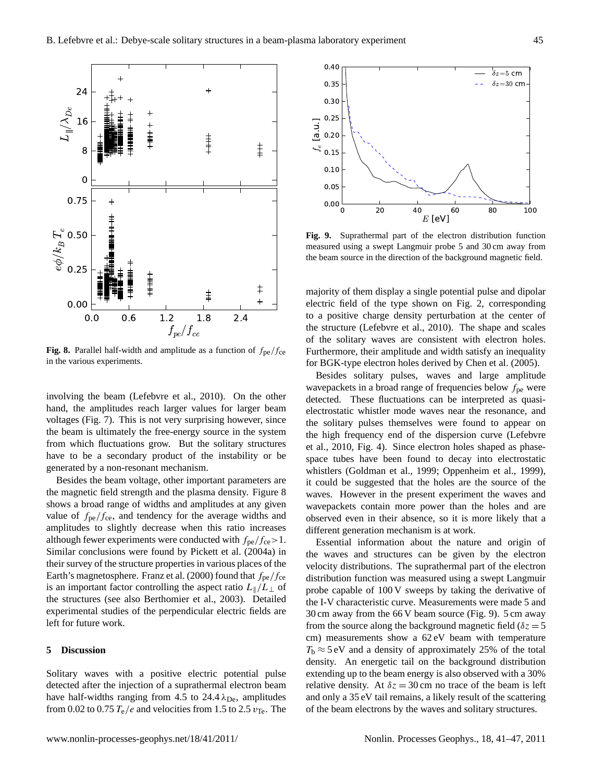

<span id="page-4-0"></span>**Fig. 8.** Parallel half-width and amplitude as a function of  $f_{pe}/f_{ce}$ in the various experiments.

involving the beam [\(Lefebvre et al.,](#page-6-17) [2010\)](#page-6-17). On the other hand, the amplitudes reach larger values for larger beam voltages (Fig. [7\)](#page-3-2). This is not very surprising however, since the beam is ultimately the free-energy source in the system from which fluctuations grow. But the solitary structures have to be a secondary product of the instability or be generated by a non-resonant mechanism.

Besides the beam voltage, other important parameters are the magnetic field strength and the plasma density. Figure [8](#page-4-0) shows a broad range of widths and amplitudes at any given value of  $f_{pe}/f_{ce}$ , and tendency for the average widths and amplitudes to slightly decrease when this ratio increases although fewer experiments were conducted with  $f_{pe}/f_{ce} > 1$ . Similar conclusions were found by [Pickett et al.](#page-6-22) [\(2004a\)](#page-6-22) in their survey of the structure properties in various places of the Earth's magnetosphere. [Franz et al.](#page-6-23) [\(2000\)](#page-6-23) found that  $f_{pe}/f_{ce}$ is an important factor controlling the aspect ratio  $L\|/L\|$  of the structures (see also [Berthomier et al.,](#page-5-11) [2003\)](#page-5-11). Detailed experimental studies of the perpendicular electric fields are left for future work.

# **5 Discussion**

Solitary waves with a positive electric potential pulse detected after the injection of a suprathermal electron beam have half-widths ranging from 4.5 to 24.4  $\lambda_{\text{De}}$ , amplitudes from 0.02 to 0.75  $T_e/e$  and velocities from 1.5 to 2.5  $v_{Te}$ . The



<span id="page-4-1"></span>**Fig. 9.** Suprathermal part of the electron distribution function measured using a swept Langmuir probe 5 and 30 cm away from the beam source in the direction of the background magnetic field.

majority of them display a single potential pulse and dipolar electric field of the type shown on Fig. [2,](#page-1-1) corresponding to a positive charge density perturbation at the center of the structure [\(Lefebvre et al.,](#page-6-17) [2010\)](#page-6-17). The shape and scales of the solitary waves are consistent with electron holes. Furthermore, their amplitude and width satisfy an inequality for BGK-type electron holes derived by [Chen et al.](#page-5-9) [\(2005\)](#page-5-9).

Besides solitary pulses, waves and large amplitude wavepackets in a broad range of frequencies below  $f_{\text{pe}}$  were detected. These fluctuations can be interpreted as quasielectrostatic whistler mode waves near the resonance, and the solitary pulses themselves were found to appear on the high frequency end of the dispersion curve [\(Lefebvre](#page-6-17) [et al.,](#page-6-17) [2010,](#page-6-17) Fig. 4). Since electron holes shaped as phasespace tubes have been found to decay into electrostatic whistlers [\(Goldman et al.,](#page-6-24) [1999;](#page-6-24) [Oppenheim et al.,](#page-6-15) [1999\)](#page-6-15), it could be suggested that the holes are the source of the waves. However in the present experiment the waves and wavepackets contain more power than the holes and are observed even in their absence, so it is more likely that a different generation mechanism is at work.

Essential information about the nature and origin of the waves and structures can be given by the electron velocity distributions. The suprathermal part of the electron distribution function was measured using a swept Langmuir probe capable of 100 V sweeps by taking the derivative of the I-V characteristic curve. Measurements were made 5 and 30 cm away from the 66 V beam source (Fig. [9\)](#page-4-1). 5 cm away from the source along the background magnetic field ( $\delta z = 5$ cm) measurements show a 62 eV beam with temperature  $T_b \approx 5$  eV and a density of approximately 25% of the total density. An energetic tail on the background distribution extending up to the beam energy is also observed with a 30% relative density. At  $\delta z = 30$  cm no trace of the beam is left and only a 35 eV tail remains, a likely result of the scattering of the beam electrons by the waves and solitary structures.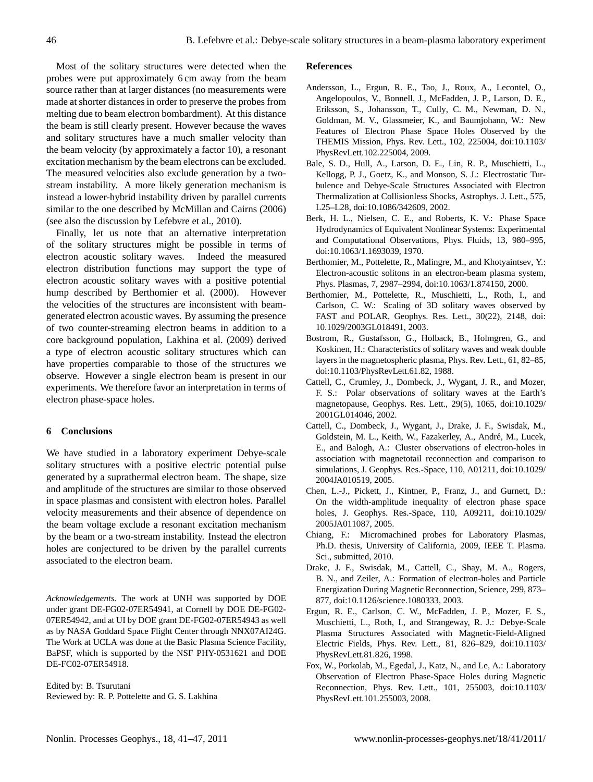Most of the solitary structures were detected when the probes were put approximately 6 cm away from the beam source rather than at larger distances (no measurements were made at shorter distances in order to preserve the probes from melting due to beam electron bombardment). At this distance the beam is still clearly present. However because the waves and solitary structures have a much smaller velocity than the beam velocity (by approximately a factor 10), a resonant excitation mechanism by the beam electrons can be excluded. The measured velocities also exclude generation by a twostream instability. A more likely generation mechanism is instead a lower-hybrid instability driven by parallel currents similar to the one described by [McMillan and Cairns](#page-6-25) [\(2006\)](#page-6-25) (see also the discussion by [Lefebvre et al.,](#page-6-17) [2010\)](#page-6-17).

Finally, let us note that an alternative interpretation of the solitary structures might be possible in terms of electron acoustic solitary waves. Indeed the measured electron distribution functions may support the type of electron acoustic solitary waves with a positive potential hump described by [Berthomier et al.](#page-5-12) [\(2000\)](#page-5-12). However the velocities of the structures are inconsistent with beamgenerated electron acoustic waves. By assuming the presence of two counter-streaming electron beams in addition to a core background population, [Lakhina et al.](#page-6-26) [\(2009\)](#page-6-26) derived a type of electron acoustic solitary structures which can have properties comparable to those of the structures we observe. However a single electron beam is present in our experiments. We therefore favor an interpretation in terms of electron phase-space holes.

### **6 Conclusions**

We have studied in a laboratory experiment Debye-scale solitary structures with a positive electric potential pulse generated by a suprathermal electron beam. The shape, size and amplitude of the structures are similar to those observed in space plasmas and consistent with electron holes. Parallel velocity measurements and their absence of dependence on the beam voltage exclude a resonant excitation mechanism by the beam or a two-stream instability. Instead the electron holes are conjectured to be driven by the parallel currents associated to the electron beam.

*Acknowledgements.* The work at UNH was supported by DOE under grant DE-FG02-07ER54941, at Cornell by DOE DE-FG02- 07ER54942, and at UI by DOE grant DE-FG02-07ER54943 as well as by NASA Goddard Space Flight Center through NNX07AI24G. The Work at UCLA was done at the Basic Plasma Science Facility, BaPSF, which is supported by the NSF PHY-0531621 and DOE DE-FC02-07ER54918.

Edited by: B. Tsurutani Reviewed by: R. P. Pottelette and G. S. Lakhina

#### **References**

- <span id="page-5-10"></span>Andersson, L., Ergun, R. E., Tao, J., Roux, A., Lecontel, O., Angelopoulos, V., Bonnell, J., McFadden, J. P., Larson, D. E., Eriksson, S., Johansson, T., Cully, C. M., Newman, D. N., Goldman, M. V., Glassmeier, K., and Baumjohann, W.: New Features of Electron Phase Space Holes Observed by the THEMIS Mission, Phys. Rev. Lett., 102, 225004, doi:10.1103/ PhysRevLett.102.225004, 2009.
- <span id="page-5-2"></span>Bale, S. D., Hull, A., Larson, D. E., Lin, R. P., Muschietti, L., Kellogg, P. J., Goetz, K., and Monson, S. J.: Electrostatic Turbulence and Debye-Scale Structures Associated with Electron Thermalization at Collisionless Shocks, Astrophys. J. Lett., 575, L25–L28, doi:10.1086/342609, 2002.
- <span id="page-5-5"></span>Berk, H. L., Nielsen, C. E., and Roberts, K. V.: Phase Space Hydrodynamics of Equivalent Nonlinear Systems: Experimental and Computational Observations, Phys. Fluids, 13, 980–995, doi:10.1063/1.1693039, 1970.
- <span id="page-5-12"></span>Berthomier, M., Pottelette, R., Malingre, M., and Khotyaintsev, Y.: Electron-acoustic solitons in an electron-beam plasma system, Phys. Plasmas, 7, 2987–2994, doi:10.1063/1.874150, 2000.
- <span id="page-5-11"></span>Berthomier, M., Pottelette, R., Muschietti, L., Roth, I., and Carlson, C. W.: Scaling of 3D solitary waves observed by FAST and POLAR, Geophys. Res. Lett., 30(22), 2148, doi: 10.1029/2003GL018491, 2003.
- <span id="page-5-7"></span>Bostrom, R., Gustafsson, G., Holback, B., Holmgren, G., and Koskinen, H.: Characteristics of solitary waves and weak double layers in the magnetospheric plasma, Phys. Rev. Lett., 61, 82–85, doi:10.1103/PhysRevLett.61.82, 1988.
- <span id="page-5-0"></span>Cattell, C., Crumley, J., Dombeck, J., Wygant, J. R., and Mozer, F. S.: Polar observations of solitary waves at the Earth's magnetopause, Geophys. Res. Lett., 29(5), 1065, doi:10.1029/ 2001GL014046, 2002.
- <span id="page-5-1"></span>Cattell, C., Dombeck, J., Wygant, J., Drake, J. F., Swisdak, M., Goldstein, M. L., Keith, W., Fazakerley, A., André, M., Lucek, E., and Balogh, A.: Cluster observations of electron-holes in association with magnetotail reconnection and comparison to simulations, J. Geophys. Res.-Space, 110, A01211, doi:10.1029/ 2004JA010519, 2005.
- <span id="page-5-9"></span>Chen, L.-J., Pickett, J., Kintner, P., Franz, J., and Gurnett, D.: On the width-amplitude inequality of electron phase space holes, J. Geophys. Res.-Space, 110, A09211, doi:10.1029/ 2005JA011087, 2005.
- <span id="page-5-6"></span>Chiang, F.: Micromachined probes for Laboratory Plasmas, Ph.D. thesis, University of California, 2009, IEEE T. Plasma. Sci., submitted, 2010.
- <span id="page-5-4"></span>Drake, J. F., Swisdak, M., Cattell, C., Shay, M. A., Rogers, B. N., and Zeiler, A.: Formation of electron-holes and Particle Energization During Magnetic Reconnection, Science, 299, 873– 877, doi:10.1126/science.1080333, 2003.
- <span id="page-5-8"></span>Ergun, R. E., Carlson, C. W., McFadden, J. P., Mozer, F. S., Muschietti, L., Roth, I., and Strangeway, R. J.: Debye-Scale Plasma Structures Associated with Magnetic-Field-Aligned Electric Fields, Phys. Rev. Lett., 81, 826–829, doi:10.1103/ PhysRevLett.81.826, 1998.
- <span id="page-5-3"></span>Fox, W., Porkolab, M., Egedal, J., Katz, N., and Le, A.: Laboratory Observation of Electron Phase-Space Holes during Magnetic Reconnection, Phys. Rev. Lett., 101, 255003, doi:10.1103/ PhysRevLett.101.255003, 2008.